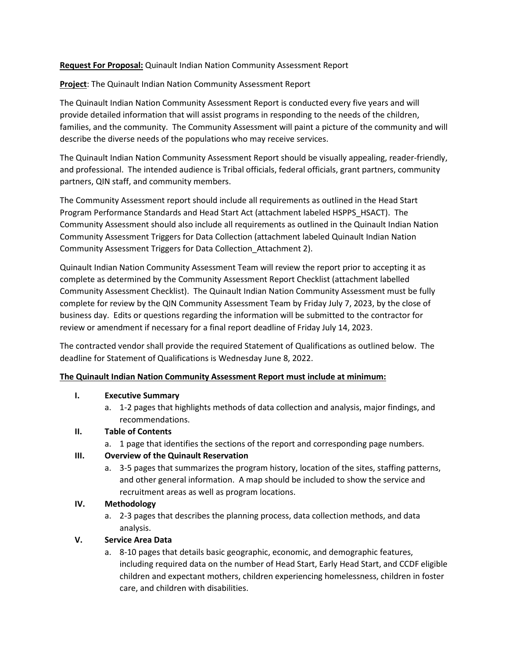### **Request For Proposal:** Quinault Indian Nation Community Assessment Report

**Project**: The Quinault Indian Nation Community Assessment Report

The Quinault Indian Nation Community Assessment Report is conducted every five years and will provide detailed information that will assist programs in responding to the needs of the children, families, and the community. The Community Assessment will paint a picture of the community and will describe the diverse needs of the populations who may receive services.

The Quinault Indian Nation Community Assessment Report should be visually appealing, reader-friendly, and professional. The intended audience is Tribal officials, federal officials, grant partners, community partners, QIN staff, and community members.

The Community Assessment report should include all requirements as outlined in the Head Start Program Performance Standards and Head Start Act (attachment labeled HSPPS\_HSACT). The Community Assessment should also include all requirements as outlined in the Quinault Indian Nation Community Assessment Triggers for Data Collection (attachment labeled Quinault Indian Nation Community Assessment Triggers for Data Collection\_Attachment 2).

Quinault Indian Nation Community Assessment Team will review the report prior to accepting it as complete as determined by the Community Assessment Report Checklist (attachment labelled Community Assessment Checklist). The Quinault Indian Nation Community Assessment must be fully complete for review by the QIN Community Assessment Team by Friday July 7, 2023, by the close of business day. Edits or questions regarding the information will be submitted to the contractor for review or amendment if necessary for a final report deadline of Friday July 14, 2023.

The contracted vendor shall provide the required Statement of Qualifications as outlined below. The deadline for Statement of Qualifications is Wednesday June 8, 2022.

### **The Quinault Indian Nation Community Assessment Report must include at minimum:**

### **I. Executive Summary**

a. 1-2 pages that highlights methods of data collection and analysis, major findings, and recommendations.

# **II. Table of Contents**

a. 1 page that identifies the sections of the report and corresponding page numbers.

### **III. Overview of the Quinault Reservation**

a. 3-5 pages that summarizes the program history, location of the sites, staffing patterns, and other general information. A map should be included to show the service and recruitment areas as well as program locations.

# **IV. Methodology**

a. 2-3 pages that describes the planning process, data collection methods, and data analysis.

### **V. Service Area Data**

a. 8-10 pages that details basic geographic, economic, and demographic features, including required data on the number of Head Start, Early Head Start, and CCDF eligible children and expectant mothers, children experiencing homelessness, children in foster care, and children with disabilities.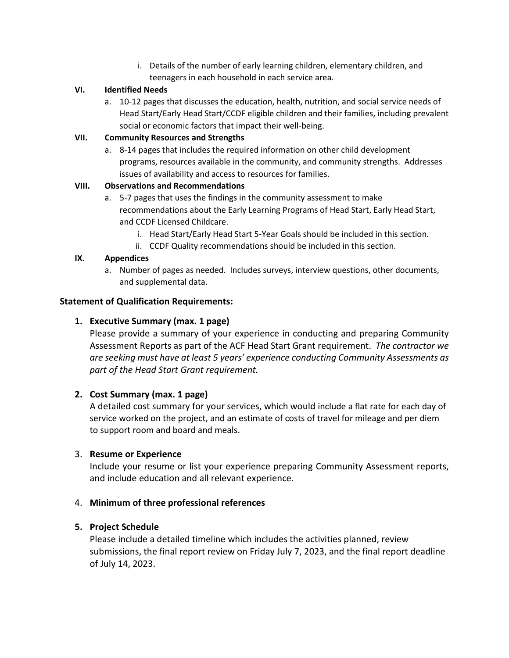i. Details of the number of early learning children, elementary children, and teenagers in each household in each service area.

# **VI. Identified Needs**

a. 10-12 pages that discusses the education, health, nutrition, and social service needs of Head Start/Early Head Start/CCDF eligible children and their families, including prevalent social or economic factors that impact their well-being.

# **VII. Community Resources and Strengths**

a. 8-14 pages that includes the required information on other child development programs, resources available in the community, and community strengths. Addresses issues of availability and access to resources for families.

# **VIII. Observations and Recommendations**

- a. 5-7 pages that uses the findings in the community assessment to make recommendations about the Early Learning Programs of Head Start, Early Head Start, and CCDF Licensed Childcare.
	- i. Head Start/Early Head Start 5-Year Goals should be included in this section.
	- ii. CCDF Quality recommendations should be included in this section.

# **IX. Appendices**

a. Number of pages as needed. Includes surveys, interview questions, other documents, and supplemental data.

# **Statement of Qualification Requirements:**

# **1. Executive Summary (max. 1 page)**

Please provide a summary of your experience in conducting and preparing Community Assessment Reports as part of the ACF Head Start Grant requirement. *The contractor we are seeking must have at least 5 years' experience conducting Community Assessments as part of the Head Start Grant requirement.* 

# **2. Cost Summary (max. 1 page)**

A detailed cost summary for your services, which would include a flat rate for each day of service worked on the project, and an estimate of costs of travel for mileage and per diem to support room and board and meals.

# 3. **Resume or Experience**

Include your resume or list your experience preparing Community Assessment reports, and include education and all relevant experience.

# 4. **Minimum of three professional references**

# **5. Project Schedule**

Please include a detailed timeline which includes the activities planned, review submissions, the final report review on Friday July 7, 2023, and the final report deadline of July 14, 2023.